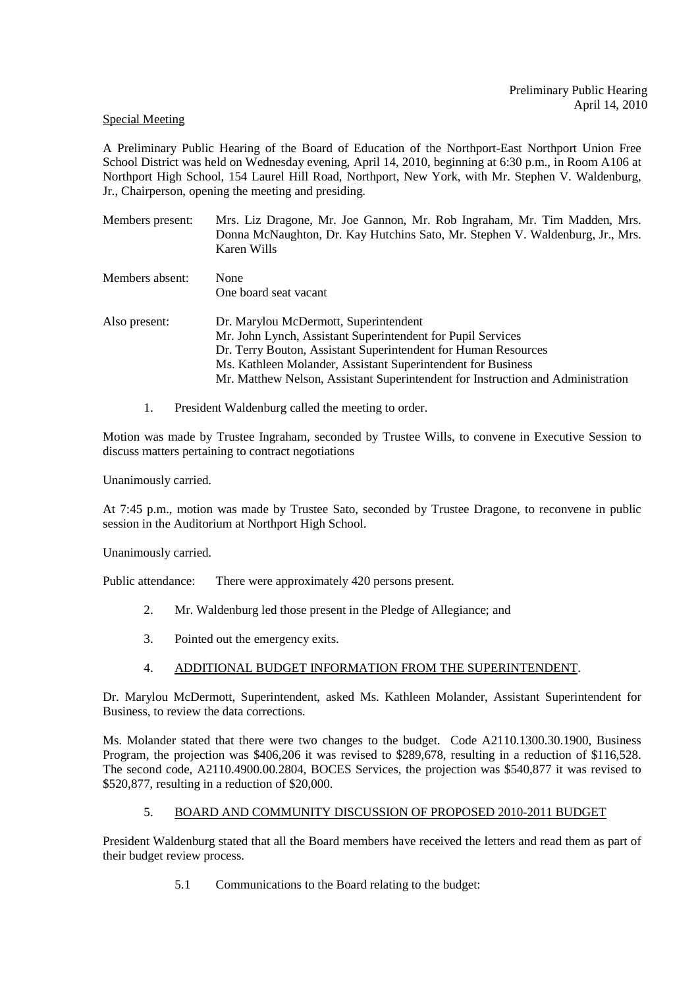### Special Meeting

A Preliminary Public Hearing of the Board of Education of the Northport-East Northport Union Free School District was held on Wednesday evening, April 14, 2010, beginning at 6:30 p.m., in Room A106 at Northport High School, 154 Laurel Hill Road, Northport, New York, with Mr. Stephen V. Waldenburg, Jr., Chairperson, opening the meeting and presiding.

| Members present: | Mrs. Liz Dragone, Mr. Joe Gannon, Mr. Rob Ingraham, Mr. Tim Madden, Mrs.<br>Donna McNaughton, Dr. Kay Hutchins Sato, Mr. Stephen V. Waldenburg, Jr., Mrs.<br>Karen Wills |  |
|------------------|--------------------------------------------------------------------------------------------------------------------------------------------------------------------------|--|
| Members absent:  | None<br>One board seat vacant                                                                                                                                            |  |
|                  |                                                                                                                                                                          |  |
| Also present:    | Dr. Marylou McDermott, Superintendent                                                                                                                                    |  |
|                  | Mr. John Lynch, Assistant Superintendent for Pupil Services                                                                                                              |  |
|                  | Dr. Terry Bouton, Assistant Superintendent for Human Resources                                                                                                           |  |
|                  | Ms. Kathleen Molander, Assistant Superintendent for Business                                                                                                             |  |

- Mr. Matthew Nelson, Assistant Superintendent for Instruction and Administration
- 1. President Waldenburg called the meeting to order.

Motion was made by Trustee Ingraham, seconded by Trustee Wills, to convene in Executive Session to discuss matters pertaining to contract negotiations

Unanimously carried.

At 7:45 p.m., motion was made by Trustee Sato, seconded by Trustee Dragone, to reconvene in public session in the Auditorium at Northport High School.

Unanimously carried.

Public attendance: There were approximately 420 persons present.

- 2. Mr. Waldenburg led those present in the Pledge of Allegiance; and
- 3. Pointed out the emergency exits.
- 4. ADDITIONAL BUDGET INFORMATION FROM THE SUPERINTENDENT.

Dr. Marylou McDermott, Superintendent, asked Ms. Kathleen Molander, Assistant Superintendent for Business, to review the data corrections.

Ms. Molander stated that there were two changes to the budget. Code A2110.1300.30.1900, Business Program, the projection was \$406,206 it was revised to \$289,678, resulting in a reduction of \$116,528. The second code, A2110.4900.00.2804, BOCES Services, the projection was \$540,877 it was revised to \$520,877, resulting in a reduction of \$20,000.

## 5. BOARD AND COMMUNITY DISCUSSION OF PROPOSED 2010-2011 BUDGET

President Waldenburg stated that all the Board members have received the letters and read them as part of their budget review process.

5.1 Communications to the Board relating to the budget: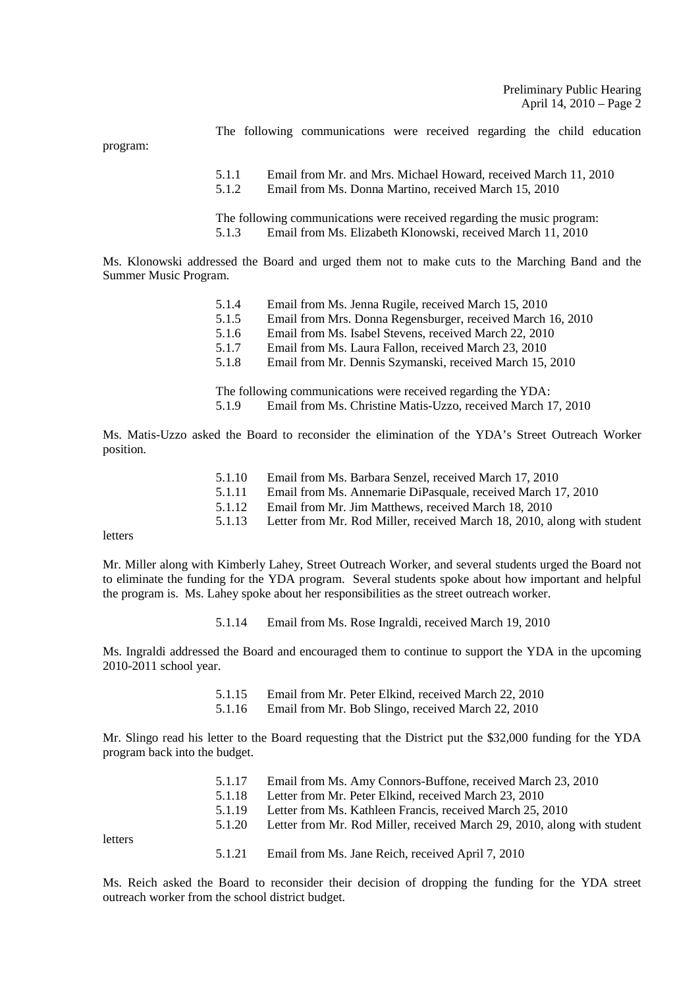The following communications were received regarding the child education 5.1.1 Email from Mr. and Mrs. Michael Howard, received March 11, 2010

5.1.2 Email from Ms. Donna Martino, received March 15, 2010

The following communications were received regarding the music program: 5.1.3 Email from Ms. Elizabeth Klonowski, received March 11, 2010

Ms. Klonowski addressed the Board and urged them not to make cuts to the Marching Band and the Summer Music Program.

| 5.1.4 | Email from Ms. Jenna Rugile, received March 15, 2010        |
|-------|-------------------------------------------------------------|
| 5.1.5 | Email from Mrs. Donna Regensburger, received March 16, 2010 |
| 5.1.6 | Email from Ms. Isabel Stevens, received March 22, 2010      |
| 5.1.7 | Email from Ms. Laura Fallon, received March 23, 2010        |
| 5.1.8 | Email from Mr. Dennis Szymanski, received March 15, 2010    |
|       |                                                             |

 The following communications were received regarding the YDA: 5.1.9 Email from Ms. Christine Matis-Uzzo, received March 17, 2010

Ms. Matis-Uzzo asked the Board to reconsider the elimination of the YDA's Street Outreach Worker position.

| 5.1.10 | Email from Ms. Barbara Senzel, received March 17, 2010 |  |
|--------|--------------------------------------------------------|--|
|--------|--------------------------------------------------------|--|

- 5.1.11 Email from Ms. Annemarie DiPasquale, received March 17, 2010
- 5.1.12 Email from Mr. Jim Matthews, received March 18, 2010<br>5.1.13 Letter from Mr. Rod Miller, received March 18, 2010, a
- Letter from Mr. Rod Miller, received March 18, 2010, along with student

letters

program:

Mr. Miller along with Kimberly Lahey, Street Outreach Worker, and several students urged the Board not to eliminate the funding for the YDA program. Several students spoke about how important and helpful the program is. Ms. Lahey spoke about her responsibilities as the street outreach worker.

5.1.14 Email from Ms. Rose Ingraldi, received March 19, 2010

Ms. Ingraldi addressed the Board and encouraged them to continue to support the YDA in the upcoming 2010-2011 school year.

- 5.1.15 Email from Mr. Peter Elkind, received March 22, 2010
- 5.1.16 Email from Mr. Bob Slingo, received March 22, 2010

Mr. Slingo read his letter to the Board requesting that the District put the \$32,000 funding for the YDA program back into the budget.

| 5.1.17 | Email from Ms. Amy Connors-Buffone, received March 23, 2010             |
|--------|-------------------------------------------------------------------------|
| 5.1.18 | Letter from Mr. Peter Elkind, received March 23, 2010                   |
| 5.1.19 | Letter from Ms. Kathleen Francis, received March 25, 2010               |
| 5.1.20 | Letter from Mr. Rod Miller, received March 29, 2010, along with student |
|        |                                                                         |
| 5.1.21 | Email from Ms. Jane Reich, received April 7, 2010                       |

letters

5.1.21 Email from Ms. Jane Reich, received April 7, 2010

Ms. Reich asked the Board to reconsider their decision of dropping the funding for the YDA street outreach worker from the school district budget.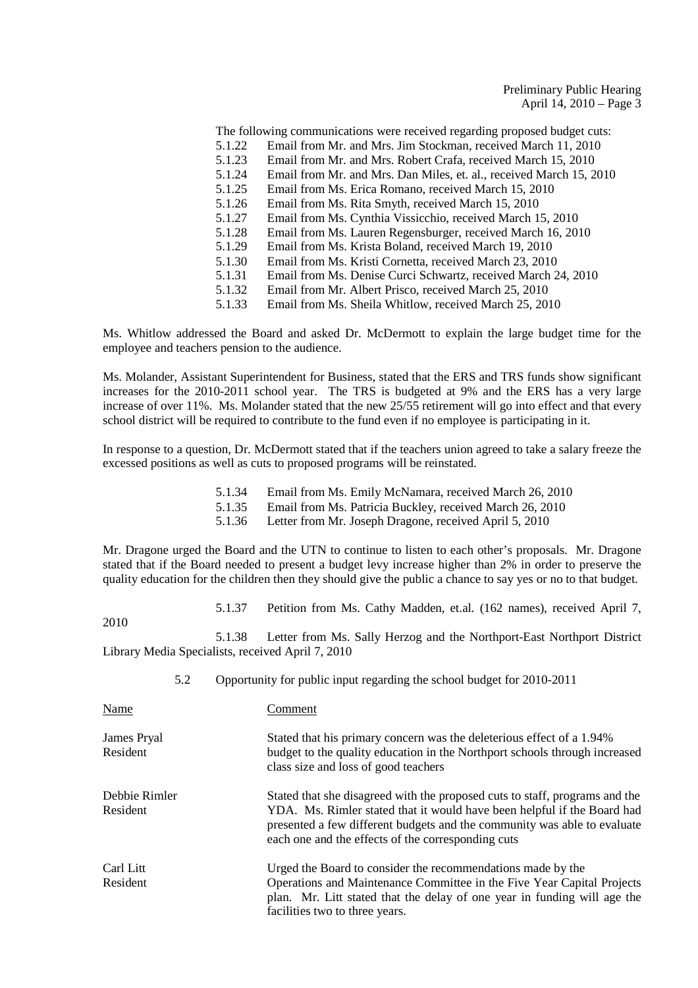The following communications were received regarding proposed budget cuts: 5.1.22 Email from Mr. and Mrs. Jim Stockman, received March 11, 2010 5.1.23 Email from Mr. and Mrs. Robert Crafa, received March 15, 2010 5.1.24 Email from Mr. and Mrs. Dan Miles, et. al., received March 15, 2010 5.1.25 Email from Ms. Erica Romano, received March 15, 2010 5.1.26 Email from Ms. Rita Smyth, received March 15, 2010 5.1.27 Email from Ms. Cynthia Vissicchio, received March 15, 2010 5.1.28 Email from Ms. Lauren Regensburger, received March 16, 2010 5.1.29 Email from Ms. Krista Boland, received March 19, 2010 5.1.30 Email from Ms. Kristi Cornetta, received March 23, 2010<br>5.1.31 Email from Ms. Denise Curci Schwartz, received March 2 5.1.31 Email from Ms. Denise Curci Schwartz, received March 24, 2010<br>5.1.32 Email from Mr. Albert Prisco, received March 25, 2010 Email from Mr. Albert Prisco, received March 25, 2010

5.1.33 Email from Ms. Sheila Whitlow, received March 25, 2010

Ms. Whitlow addressed the Board and asked Dr. McDermott to explain the large budget time for the employee and teachers pension to the audience.

Ms. Molander, Assistant Superintendent for Business, stated that the ERS and TRS funds show significant increases for the 2010-2011 school year. The TRS is budgeted at 9% and the ERS has a very large increase of over 11%. Ms. Molander stated that the new 25/55 retirement will go into effect and that every school district will be required to contribute to the fund even if no employee is participating in it.

In response to a question, Dr. McDermott stated that if the teachers union agreed to take a salary freeze the excessed positions as well as cuts to proposed programs will be reinstated.

- 5.1.34 Email from Ms. Emily McNamara, received March 26, 2010
- 5.1.35 Email from Ms. Patricia Buckley, received March 26, 2010<br>5.1.36 Letter from Mr. Joseph Dragone, received April 5, 2010
- Letter from Mr. Joseph Dragone, received April 5, 2010

Mr. Dragone urged the Board and the UTN to continue to listen to each other's proposals. Mr. Dragone stated that if the Board needed to present a budget levy increase higher than 2% in order to preserve the quality education for the children then they should give the public a chance to say yes or no to that budget.

5.1.37 Petition from Ms. Cathy Madden, et.al. (162 names), received April 7,

2010

5.1.38 Letter from Ms. Sally Herzog and the Northport-East Northport District Library Media Specialists, received April 7, 2010

| 5.2 |  | Opportunity for public input regarding the school budget for 2010-2011 |  |
|-----|--|------------------------------------------------------------------------|--|
|     |  |                                                                        |  |

| Name                      | Comment                                                                                                                                                                                                                                                                                  |
|---------------------------|------------------------------------------------------------------------------------------------------------------------------------------------------------------------------------------------------------------------------------------------------------------------------------------|
| James Pryal<br>Resident   | Stated that his primary concern was the deleterious effect of a 1.94%<br>budget to the quality education in the Northport schools through increased<br>class size and loss of good teachers                                                                                              |
| Debbie Rimler<br>Resident | Stated that she disagreed with the proposed cuts to staff, programs and the<br>YDA. Ms. Rimler stated that it would have been helpful if the Board had<br>presented a few different budgets and the community was able to evaluate<br>each one and the effects of the corresponding cuts |
| Carl Litt<br>Resident     | Urged the Board to consider the recommendations made by the<br>Operations and Maintenance Committee in the Five Year Capital Projects<br>plan. Mr. Litt stated that the delay of one year in funding will age the<br>facilities two to three years.                                      |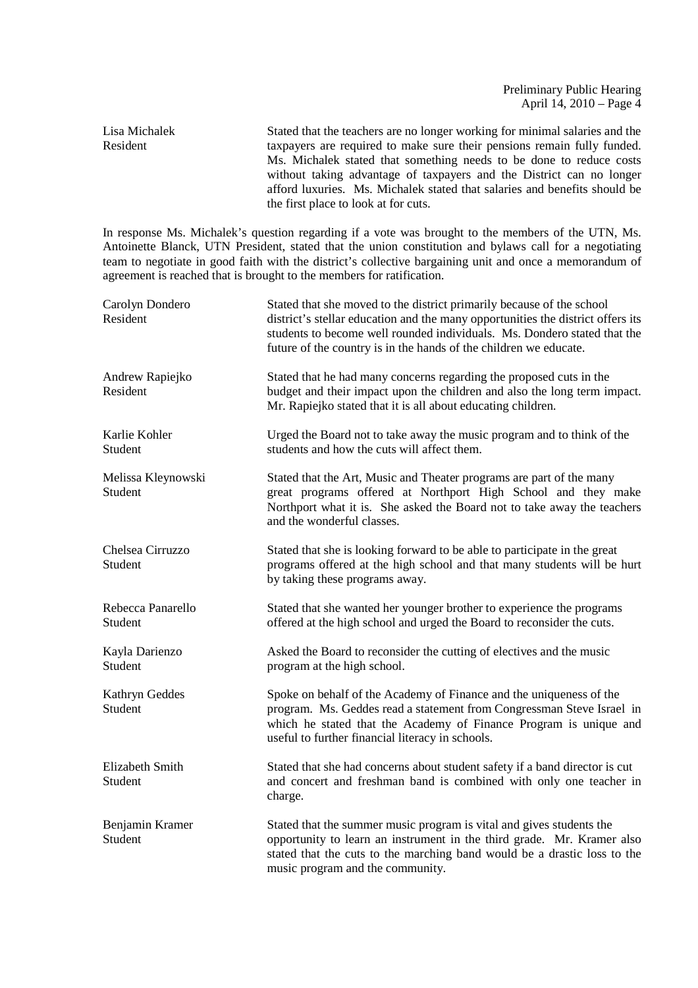Lisa Michalek Stated that the teachers are no longer working for minimal salaries and the Resident taxpayers are required to make sure their pensions remain fully funded. Ms. Michalek stated that something needs to be done to reduce costs without taking advantage of taxpayers and the District can no longer afford luxuries. Ms. Michalek stated that salaries and benefits should be the first place to look at for cuts.

In response Ms. Michalek's question regarding if a vote was brought to the members of the UTN, Ms. Antoinette Blanck, UTN President, stated that the union constitution and bylaws call for a negotiating team to negotiate in good faith with the district's collective bargaining unit and once a memorandum of agreement is reached that is brought to the members for ratification.

| Carolyn Dondero<br>Resident       | Stated that she moved to the district primarily because of the school<br>district's stellar education and the many opportunities the district offers its<br>students to become well rounded individuals. Ms. Dondero stated that the<br>future of the country is in the hands of the children we educate. |
|-----------------------------------|-----------------------------------------------------------------------------------------------------------------------------------------------------------------------------------------------------------------------------------------------------------------------------------------------------------|
| Andrew Rapiejko<br>Resident       | Stated that he had many concerns regarding the proposed cuts in the<br>budget and their impact upon the children and also the long term impact.<br>Mr. Rapiejko stated that it is all about educating children.                                                                                           |
| Karlie Kohler<br>Student          | Urged the Board not to take away the music program and to think of the<br>students and how the cuts will affect them.                                                                                                                                                                                     |
| Melissa Kleynowski<br>Student     | Stated that the Art, Music and Theater programs are part of the many<br>great programs offered at Northport High School and they make<br>Northport what it is. She asked the Board not to take away the teachers<br>and the wonderful classes.                                                            |
| Chelsea Cirruzzo<br>Student       | Stated that she is looking forward to be able to participate in the great<br>programs offered at the high school and that many students will be hurt<br>by taking these programs away.                                                                                                                    |
| Rebecca Panarello<br>Student      | Stated that she wanted her younger brother to experience the programs<br>offered at the high school and urged the Board to reconsider the cuts.                                                                                                                                                           |
| Kayla Darienzo<br>Student         | Asked the Board to reconsider the cutting of electives and the music<br>program at the high school.                                                                                                                                                                                                       |
| Kathryn Geddes<br>Student         | Spoke on behalf of the Academy of Finance and the uniqueness of the<br>program. Ms. Geddes read a statement from Congressman Steve Israel in<br>which he stated that the Academy of Finance Program is unique and<br>useful to further financial literacy in schools.                                     |
| <b>Elizabeth Smith</b><br>Student | Stated that she had concerns about student safety if a band director is cut<br>and concert and freshman band is combined with only one teacher in<br>charge.                                                                                                                                              |
| Benjamin Kramer<br>Student        | Stated that the summer music program is vital and gives students the<br>opportunity to learn an instrument in the third grade. Mr. Kramer also<br>stated that the cuts to the marching band would be a drastic loss to the<br>music program and the community.                                            |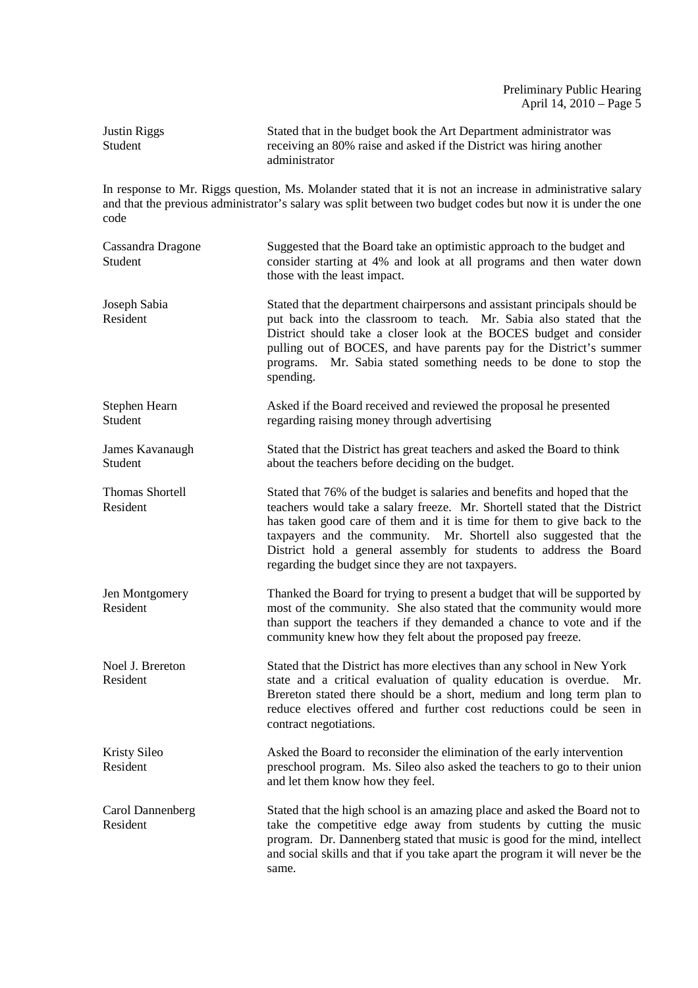| Justin Riggs | Stated that in the budget book the Art Department administrator was |
|--------------|---------------------------------------------------------------------|
| Student      | receiving an 80% raise and asked if the District was hiring another |
|              | administrator                                                       |

In response to Mr. Riggs question, Ms. Molander stated that it is not an increase in administrative salary and that the previous administrator's salary was split between two budget codes but now it is under the one code

| Cassandra Dragone<br>Student | Suggested that the Board take an optimistic approach to the budget and<br>consider starting at 4% and look at all programs and then water down<br>those with the least impact.                                                                                                                                                                                                                                                      |
|------------------------------|-------------------------------------------------------------------------------------------------------------------------------------------------------------------------------------------------------------------------------------------------------------------------------------------------------------------------------------------------------------------------------------------------------------------------------------|
| Joseph Sabia<br>Resident     | Stated that the department chairpersons and assistant principals should be<br>put back into the classroom to teach. Mr. Sabia also stated that the<br>District should take a closer look at the BOCES budget and consider<br>pulling out of BOCES, and have parents pay for the District's summer<br>Mr. Sabia stated something needs to be done to stop the<br>programs.<br>spending.                                              |
| Stephen Hearn<br>Student     | Asked if the Board received and reviewed the proposal he presented<br>regarding raising money through advertising                                                                                                                                                                                                                                                                                                                   |
| James Kavanaugh<br>Student   | Stated that the District has great teachers and asked the Board to think<br>about the teachers before deciding on the budget.                                                                                                                                                                                                                                                                                                       |
| Thomas Shortell<br>Resident  | Stated that 76% of the budget is salaries and benefits and hoped that the<br>teachers would take a salary freeze. Mr. Shortell stated that the District<br>has taken good care of them and it is time for them to give back to the<br>taxpayers and the community. Mr. Shortell also suggested that the<br>District hold a general assembly for students to address the Board<br>regarding the budget since they are not taxpayers. |
| Jen Montgomery<br>Resident   | Thanked the Board for trying to present a budget that will be supported by<br>most of the community. She also stated that the community would more<br>than support the teachers if they demanded a chance to vote and if the<br>community knew how they felt about the proposed pay freeze.                                                                                                                                         |
| Noel J. Brereton<br>Resident | Stated that the District has more electives than any school in New York<br>state and a critical evaluation of quality education is overdue. Mr.<br>Brereton stated there should be a short, medium and long term plan to<br>reduce electives offered and further cost reductions could be seen in<br>contract negotiations.                                                                                                         |
| Kristy Sileo<br>Resident     | Asked the Board to reconsider the elimination of the early intervention<br>preschool program. Ms. Sileo also asked the teachers to go to their union<br>and let them know how they feel.                                                                                                                                                                                                                                            |
| Carol Dannenberg<br>Resident | Stated that the high school is an amazing place and asked the Board not to<br>take the competitive edge away from students by cutting the music<br>program. Dr. Dannenberg stated that music is good for the mind, intellect<br>and social skills and that if you take apart the program it will never be the<br>same.                                                                                                              |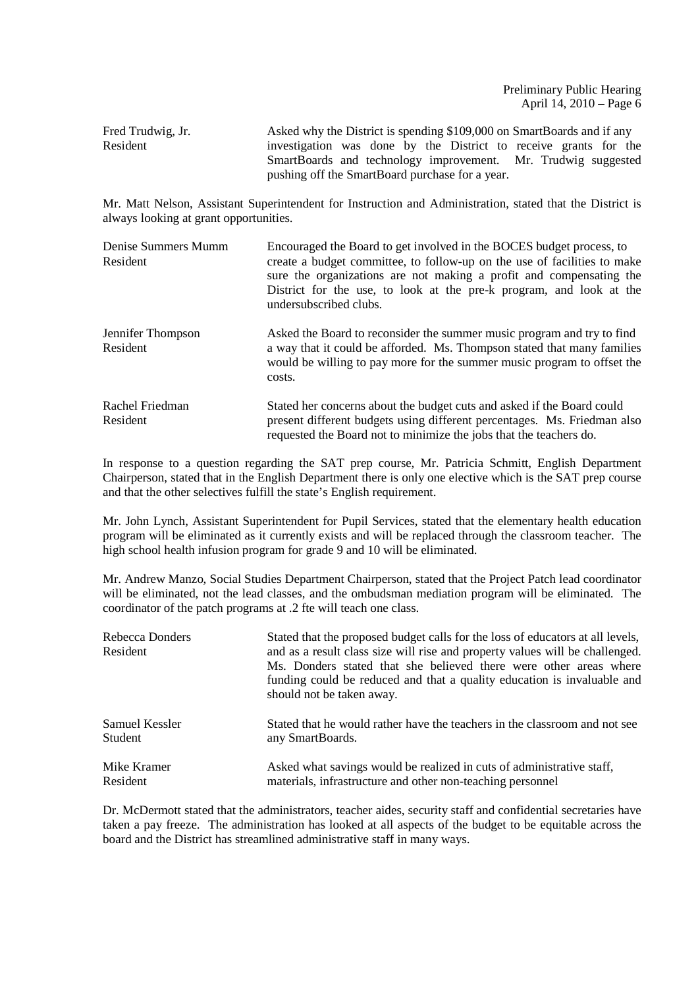Fred Trudwig, Jr. Asked why the District is spending \$109,000 on SmartBoards and if any Resident investigation was done by the District to receive grants for the SmartBoards and technology improvement. Mr. Trudwig suggested pushing off the SmartBoard purchase for a year.

Mr. Matt Nelson, Assistant Superintendent for Instruction and Administration, stated that the District is always looking at grant opportunities.

| Denise Summers Mumm<br>Resident | Encouraged the Board to get involved in the BOCES budget process, to<br>create a budget committee, to follow-up on the use of facilities to make<br>sure the organizations are not making a profit and compensating the<br>District for the use, to look at the pre-k program, and look at the<br>undersubscribed clubs. |
|---------------------------------|--------------------------------------------------------------------------------------------------------------------------------------------------------------------------------------------------------------------------------------------------------------------------------------------------------------------------|
| Jennifer Thompson<br>Resident   | Asked the Board to reconsider the summer music program and try to find<br>a way that it could be afforded. Ms. Thompson stated that many families<br>would be willing to pay more for the summer music program to offset the<br>costs.                                                                                   |
| Rachel Friedman<br>Resident     | Stated her concerns about the budget cuts and asked if the Board could<br>present different budgets using different percentages. Ms. Friedman also<br>requested the Board not to minimize the jobs that the teachers do.                                                                                                 |

In response to a question regarding the SAT prep course, Mr. Patricia Schmitt, English Department Chairperson, stated that in the English Department there is only one elective which is the SAT prep course and that the other selectives fulfill the state's English requirement.

Mr. John Lynch, Assistant Superintendent for Pupil Services, stated that the elementary health education program will be eliminated as it currently exists and will be replaced through the classroom teacher. The high school health infusion program for grade 9 and 10 will be eliminated.

Mr. Andrew Manzo, Social Studies Department Chairperson, stated that the Project Patch lead coordinator will be eliminated, not the lead classes, and the ombudsman mediation program will be eliminated. The coordinator of the patch programs at .2 fte will teach one class.

| Rebecca Donders<br>Resident | Stated that the proposed budget calls for the loss of educators at all levels,<br>and as a result class size will rise and property values will be challenged.<br>Ms. Donders stated that she believed there were other areas where<br>funding could be reduced and that a quality education is invaluable and<br>should not be taken away. |
|-----------------------------|---------------------------------------------------------------------------------------------------------------------------------------------------------------------------------------------------------------------------------------------------------------------------------------------------------------------------------------------|
| Samuel Kessler              | Stated that he would rather have the teachers in the classroom and not see                                                                                                                                                                                                                                                                  |
| Student                     | any SmartBoards.                                                                                                                                                                                                                                                                                                                            |
| Mike Kramer                 | Asked what savings would be realized in cuts of administrative staff,                                                                                                                                                                                                                                                                       |
| Resident                    | materials, infrastructure and other non-teaching personnel                                                                                                                                                                                                                                                                                  |

Dr. McDermott stated that the administrators, teacher aides, security staff and confidential secretaries have taken a pay freeze. The administration has looked at all aspects of the budget to be equitable across the board and the District has streamlined administrative staff in many ways.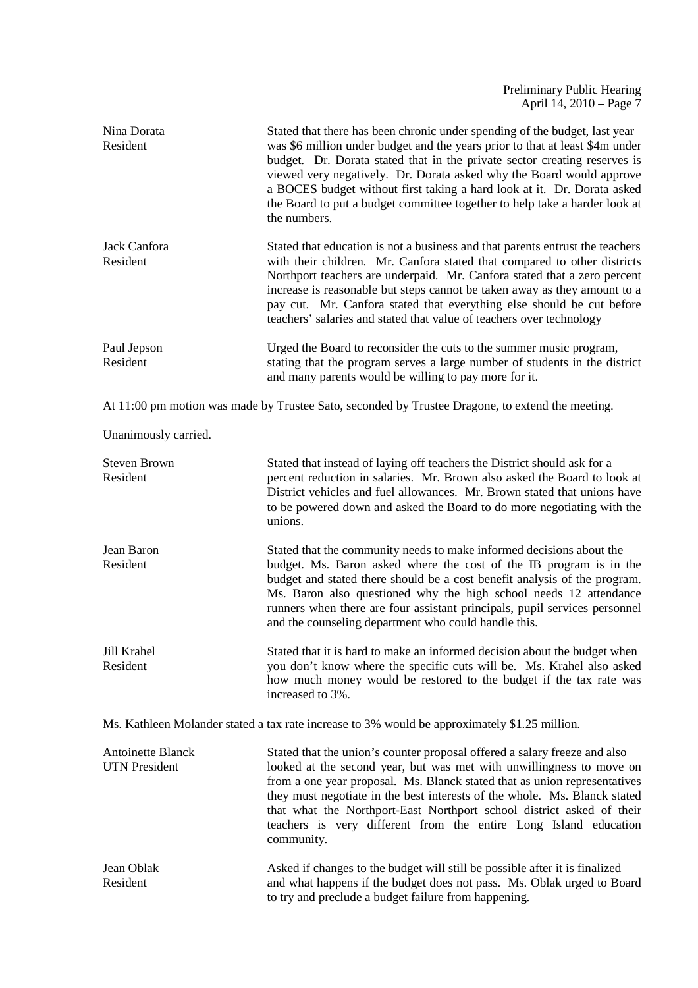| Nina Dorata<br>Resident                          | Stated that there has been chronic under spending of the budget, last year<br>was \$6 million under budget and the years prior to that at least \$4m under<br>budget. Dr. Dorata stated that in the private sector creating reserves is<br>viewed very negatively. Dr. Dorata asked why the Board would approve<br>a BOCES budget without first taking a hard look at it. Dr. Dorata asked<br>the Board to put a budget committee together to help take a harder look at<br>the numbers. |
|--------------------------------------------------|------------------------------------------------------------------------------------------------------------------------------------------------------------------------------------------------------------------------------------------------------------------------------------------------------------------------------------------------------------------------------------------------------------------------------------------------------------------------------------------|
| Jack Canfora<br>Resident                         | Stated that education is not a business and that parents entrust the teachers<br>with their children. Mr. Canfora stated that compared to other districts<br>Northport teachers are underpaid. Mr. Canfora stated that a zero percent<br>increase is reasonable but steps cannot be taken away as they amount to a<br>pay cut. Mr. Canfora stated that everything else should be cut before<br>teachers' salaries and stated that value of teachers over technology                      |
| Paul Jepson<br>Resident                          | Urged the Board to reconsider the cuts to the summer music program,<br>stating that the program serves a large number of students in the district<br>and many parents would be willing to pay more for it.                                                                                                                                                                                                                                                                               |
|                                                  | At 11:00 pm motion was made by Trustee Sato, seconded by Trustee Dragone, to extend the meeting.                                                                                                                                                                                                                                                                                                                                                                                         |
| Unanimously carried.                             |                                                                                                                                                                                                                                                                                                                                                                                                                                                                                          |
| <b>Steven Brown</b><br>Resident                  | Stated that instead of laying off teachers the District should ask for a<br>percent reduction in salaries. Mr. Brown also asked the Board to look at<br>District vehicles and fuel allowances. Mr. Brown stated that unions have<br>to be powered down and asked the Board to do more negotiating with the<br>unions.                                                                                                                                                                    |
| Jean Baron<br>Resident                           | Stated that the community needs to make informed decisions about the<br>budget. Ms. Baron asked where the cost of the IB program is in the<br>budget and stated there should be a cost benefit analysis of the program.<br>Ms. Baron also questioned why the high school needs 12 attendance<br>runners when there are four assistant principals, pupil services personnel<br>and the counseling department who could handle this.                                                       |
| Jill Krahel<br>Resident                          | Stated that it is hard to make an informed decision about the budget when<br>you don't know where the specific cuts will be. Ms. Krahel also asked<br>how much money would be restored to the budget if the tax rate was<br>increased to 3%.                                                                                                                                                                                                                                             |
|                                                  | Ms. Kathleen Molander stated a tax rate increase to 3% would be approximately \$1.25 million.                                                                                                                                                                                                                                                                                                                                                                                            |
| <b>Antoinette Blanck</b><br><b>UTN</b> President | Stated that the union's counter proposal offered a salary freeze and also<br>looked at the second year, but was met with unwillingness to move on<br>from a one year proposal. Ms. Blanck stated that as union representatives<br>they must negotiate in the best interests of the whole. Ms. Blanck stated<br>that what the Northport-East Northport school district asked of their<br>teachers is very different from the entire Long Island education<br>community.                   |
| Jean Oblak<br>Resident                           | Asked if changes to the budget will still be possible after it is finalized<br>and what happens if the budget does not pass. Ms. Oblak urged to Board                                                                                                                                                                                                                                                                                                                                    |

to try and preclude a budget failure from happening.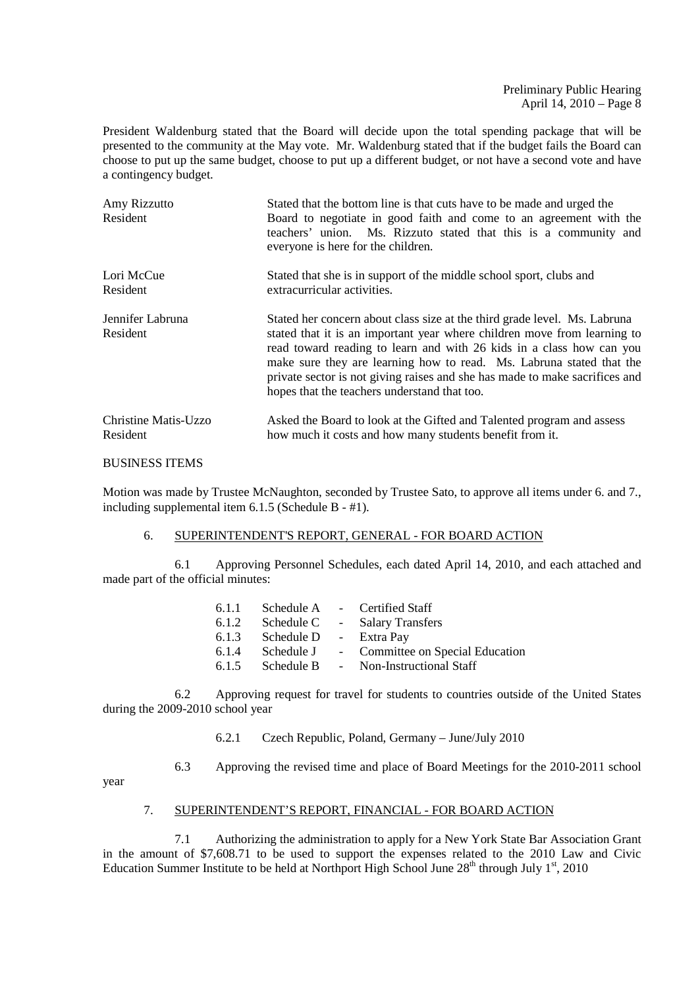President Waldenburg stated that the Board will decide upon the total spending package that will be presented to the community at the May vote. Mr. Waldenburg stated that if the budget fails the Board can choose to put up the same budget, choose to put up a different budget, or not have a second vote and have a contingency budget.

| Amy Rizzutto<br>Resident     | Stated that the bottom line is that cuts have to be made and urged the<br>Board to negotiate in good faith and come to an agreement with the<br>teachers' union. Ms. Rizzuto stated that this is a community and<br>everyone is here for the children.                                                                                                                                                                               |  |  |
|------------------------------|--------------------------------------------------------------------------------------------------------------------------------------------------------------------------------------------------------------------------------------------------------------------------------------------------------------------------------------------------------------------------------------------------------------------------------------|--|--|
| Lori McCue                   | Stated that she is in support of the middle school sport, clubs and                                                                                                                                                                                                                                                                                                                                                                  |  |  |
| Resident                     | extracurricular activities.                                                                                                                                                                                                                                                                                                                                                                                                          |  |  |
| Jennifer Labruna<br>Resident | Stated her concern about class size at the third grade level. Ms. Labruna<br>stated that it is an important year where children move from learning to<br>read toward reading to learn and with 26 kids in a class how can you<br>make sure they are learning how to read. Ms. Labruna stated that the<br>private sector is not giving raises and she has made to make sacrifices and<br>hopes that the teachers understand that too. |  |  |
| Christine Matis-Uzzo         | Asked the Board to look at the Gifted and Talented program and assess                                                                                                                                                                                                                                                                                                                                                                |  |  |
| Resident                     | how much it costs and how many students benefit from it.                                                                                                                                                                                                                                                                                                                                                                             |  |  |

### BUSINESS ITEMS

Motion was made by Trustee McNaughton, seconded by Trustee Sato, to approve all items under 6. and 7., including supplemental item 6.1.5 (Schedule B - #1).

# 6. SUPERINTENDENT'S REPORT, GENERAL - FOR BOARD ACTION

 6.1 Approving Personnel Schedules, each dated April 14, 2010, and each attached and made part of the official minutes:

| 6.1.1 | Schedule A | - Certified Staff                |
|-------|------------|----------------------------------|
| 6.1.2 | Schedule C | - Salary Transfers               |
| 6.1.3 | Schedule D | - Extra Pay                      |
| 6.1.4 | Schedule J | - Committee on Special Education |
| 6.1.5 | Schedule B | - Non-Instructional Staff        |

 6.2 Approving request for travel for students to countries outside of the United States during the 2009-2010 school year

- 6.2.1 Czech Republic, Poland, Germany June/July 2010
- 6.3 Approving the revised time and place of Board Meetings for the 2010-2011 school

year

## 7. SUPERINTENDENT'S REPORT, FINANCIAL - FOR BOARD ACTION

 7.1 Authorizing the administration to apply for a New York State Bar Association Grant in the amount of \$7,608.71 to be used to support the expenses related to the 2010 Law and Civic Education Summer Institute to be held at Northport High School June  $28<sup>th</sup>$  through July 1<sup>st</sup>, 2010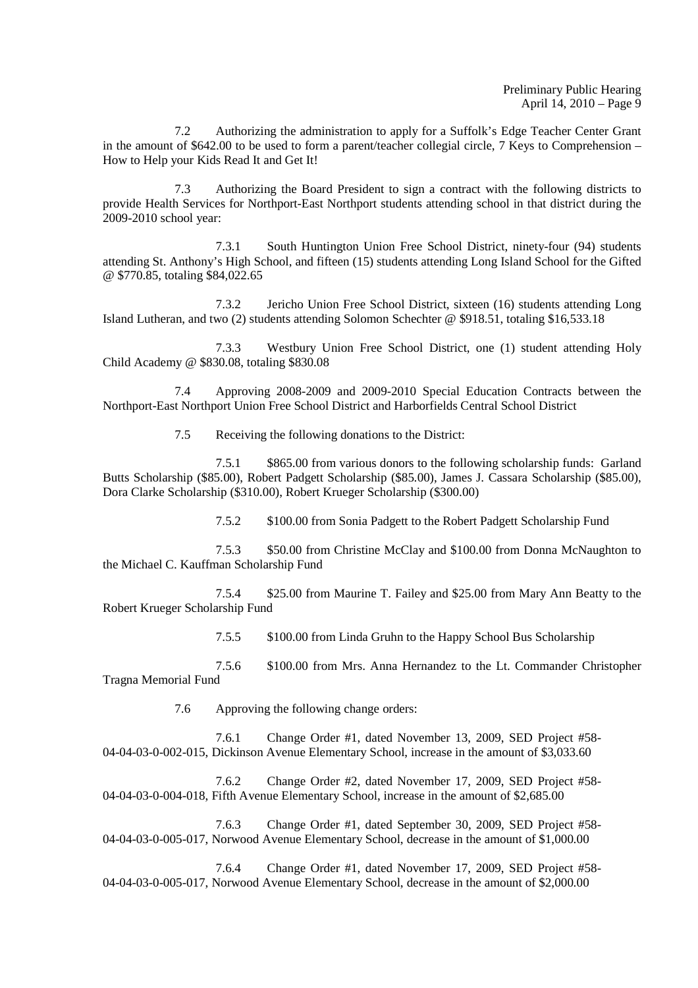7.2 Authorizing the administration to apply for a Suffolk's Edge Teacher Center Grant in the amount of \$642.00 to be used to form a parent/teacher collegial circle, 7 Keys to Comprehension – How to Help your Kids Read It and Get It!

 7.3 Authorizing the Board President to sign a contract with the following districts to provide Health Services for Northport-East Northport students attending school in that district during the 2009-2010 school year:

 7.3.1 South Huntington Union Free School District, ninety-four (94) students attending St. Anthony's High School, and fifteen (15) students attending Long Island School for the Gifted @ \$770.85, totaling \$84,022.65

 7.3.2 Jericho Union Free School District, sixteen (16) students attending Long Island Lutheran, and two (2) students attending Solomon Schechter @ \$918.51, totaling \$16,533.18

 7.3.3 Westbury Union Free School District, one (1) student attending Holy Child Academy @ \$830.08, totaling \$830.08

 7.4 Approving 2008-2009 and 2009-2010 Special Education Contracts between the Northport-East Northport Union Free School District and Harborfields Central School District

7.5 Receiving the following donations to the District:

 7.5.1 \$865.00 from various donors to the following scholarship funds: Garland Butts Scholarship (\$85.00), Robert Padgett Scholarship (\$85.00), James J. Cassara Scholarship (\$85.00), Dora Clarke Scholarship (\$310.00), Robert Krueger Scholarship (\$300.00)

7.5.2 \$100.00 from Sonia Padgett to the Robert Padgett Scholarship Fund

 7.5.3 \$50.00 from Christine McClay and \$100.00 from Donna McNaughton to the Michael C. Kauffman Scholarship Fund

 7.5.4 \$25.00 from Maurine T. Failey and \$25.00 from Mary Ann Beatty to the Robert Krueger Scholarship Fund

7.5.5 \$100.00 from Linda Gruhn to the Happy School Bus Scholarship

 7.5.6 \$100.00 from Mrs. Anna Hernandez to the Lt. Commander Christopher Tragna Memorial Fund

7.6 Approving the following change orders:

 7.6.1 Change Order #1, dated November 13, 2009, SED Project #58- 04-04-03-0-002-015, Dickinson Avenue Elementary School, increase in the amount of \$3,033.60

 7.6.2 Change Order #2, dated November 17, 2009, SED Project #58- 04-04-03-0-004-018, Fifth Avenue Elementary School, increase in the amount of \$2,685.00

 7.6.3 Change Order #1, dated September 30, 2009, SED Project #58- 04-04-03-0-005-017, Norwood Avenue Elementary School, decrease in the amount of \$1,000.00

 7.6.4 Change Order #1, dated November 17, 2009, SED Project #58- 04-04-03-0-005-017, Norwood Avenue Elementary School, decrease in the amount of \$2,000.00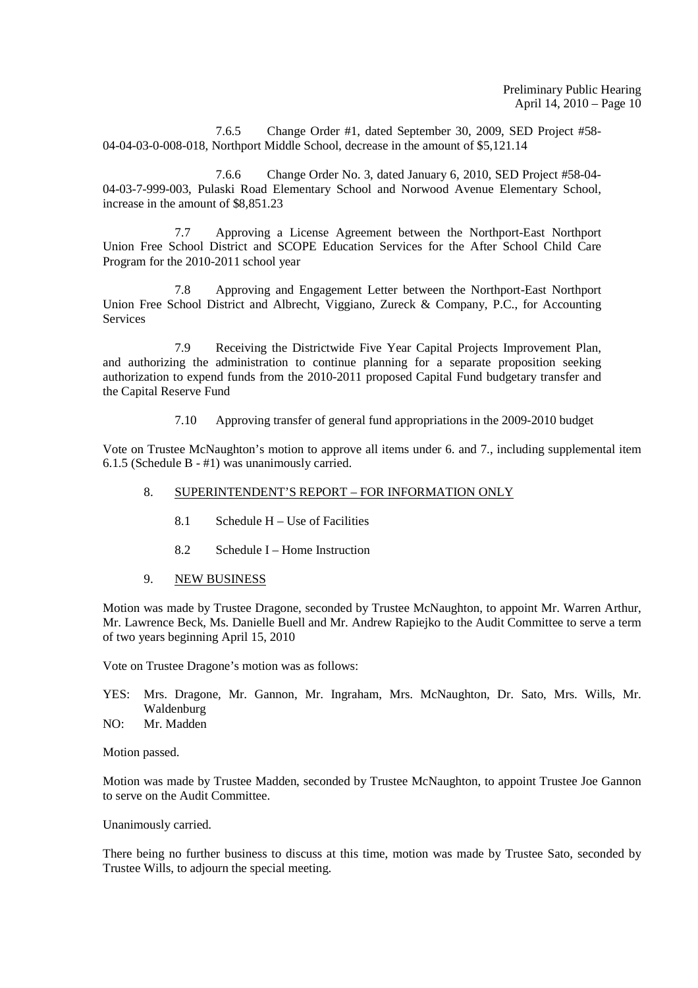7.6.5 Change Order #1, dated September 30, 2009, SED Project #58- 04-04-03-0-008-018, Northport Middle School, decrease in the amount of \$5,121.14

 7.6.6 Change Order No. 3, dated January 6, 2010, SED Project #58-04- 04-03-7-999-003, Pulaski Road Elementary School and Norwood Avenue Elementary School, increase in the amount of \$8,851.23

 7.7 Approving a License Agreement between the Northport-East Northport Union Free School District and SCOPE Education Services for the After School Child Care Program for the 2010-2011 school year

 7.8 Approving and Engagement Letter between the Northport-East Northport Union Free School District and Albrecht, Viggiano, Zureck & Company, P.C., for Accounting Services

 7.9 Receiving the Districtwide Five Year Capital Projects Improvement Plan, and authorizing the administration to continue planning for a separate proposition seeking authorization to expend funds from the 2010-2011 proposed Capital Fund budgetary transfer and the Capital Reserve Fund

7.10 Approving transfer of general fund appropriations in the 2009-2010 budget

Vote on Trustee McNaughton's motion to approve all items under 6. and 7., including supplemental item 6.1.5 (Schedule B - #1) was unanimously carried.

### 8. SUPERINTENDENT'S REPORT – FOR INFORMATION ONLY

- 8.1 Schedule H Use of Facilities
- 8.2 Schedule I Home Instruction
- 9. NEW BUSINESS

Motion was made by Trustee Dragone, seconded by Trustee McNaughton, to appoint Mr. Warren Arthur, Mr. Lawrence Beck, Ms. Danielle Buell and Mr. Andrew Rapiejko to the Audit Committee to serve a term of two years beginning April 15, 2010

Vote on Trustee Dragone's motion was as follows:

- YES: Mrs. Dragone, Mr. Gannon, Mr. Ingraham, Mrs. McNaughton, Dr. Sato, Mrs. Wills, Mr. Waldenburg
- NO: Mr. Madden

Motion passed.

Motion was made by Trustee Madden, seconded by Trustee McNaughton, to appoint Trustee Joe Gannon to serve on the Audit Committee.

#### Unanimously carried.

There being no further business to discuss at this time, motion was made by Trustee Sato, seconded by Trustee Wills, to adjourn the special meeting.